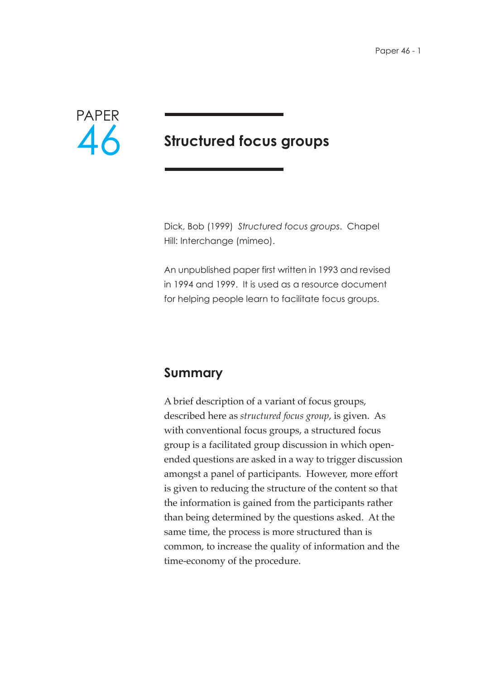

# **Structured focus groups**

Dick, Bob (1999) *Structured focus groups*. Chapel Hill: Interchange (mimeo).

An unpublished paper first written in 1993 and revised in 1994 and 1999. It is used as a resource document for helping people learn to facilitate focus groups.

## **Summary**

A brief description of a variant of focus groups, described here as *structured focus group*, is given. As with conventional focus groups, a structured focus group is a facilitated group discussion in which openended questions are asked in a way to trigger discussion amongst a panel of participants. However, more effort is given to reducing the structure of the content so that the information is gained from the participants rather than being determined by the questions asked. At the same time, the process is more structured than is common, to increase the quality of information and the time-economy of the procedure.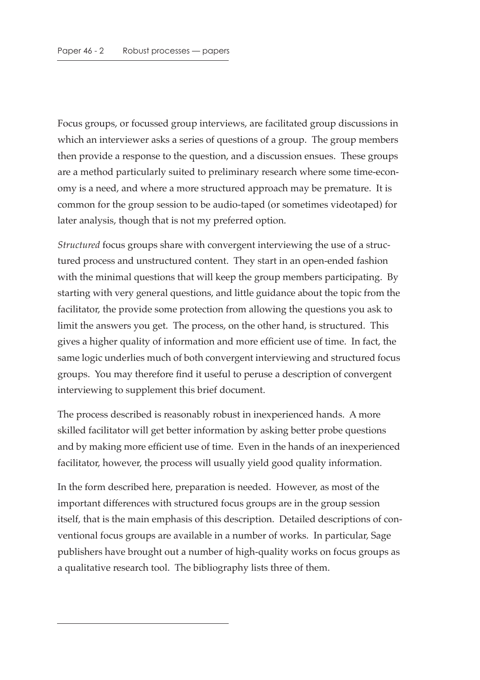Focus groups, or focussed group interviews, are facilitated group discussions in which an interviewer asks a series of questions of a group. The group members then provide a response to the question, and a discussion ensues. These groups are a method particularly suited to preliminary research where some time-economy is a need, and where a more structured approach may be premature. It is common for the group session to be audio-taped (or sometimes videotaped) for later analysis, though that is not my preferred option.

*Structured* focus groups share with convergent interviewing the use of a structured process and unstructured content. They start in an open-ended fashion with the minimal questions that will keep the group members participating. By starting with very general questions, and little guidance about the topic from the facilitator, the provide some protection from allowing the questions you ask to limit the answers you get. The process, on the other hand, is structured. This gives a higher quality of information and more efficient use of time. In fact, the same logic underlies much of both convergent interviewing and structured focus groups. You may therefore find it useful to peruse a description of convergent interviewing to supplement this brief document.

The process described is reasonably robust in inexperienced hands. A more skilled facilitator will get better information by asking better probe questions and by making more efficient use of time. Even in the hands of an inexperienced facilitator, however, the process will usually yield good quality information.

In the form described here, preparation is needed. However, as most of the important differences with structured focus groups are in the group session itself, that is the main emphasis of this description. Detailed descriptions of conventional focus groups are available in a number of works. In particular, Sage publishers have brought out a number of high-quality works on focus groups as a qualitative research tool. The bibliography lists three of them.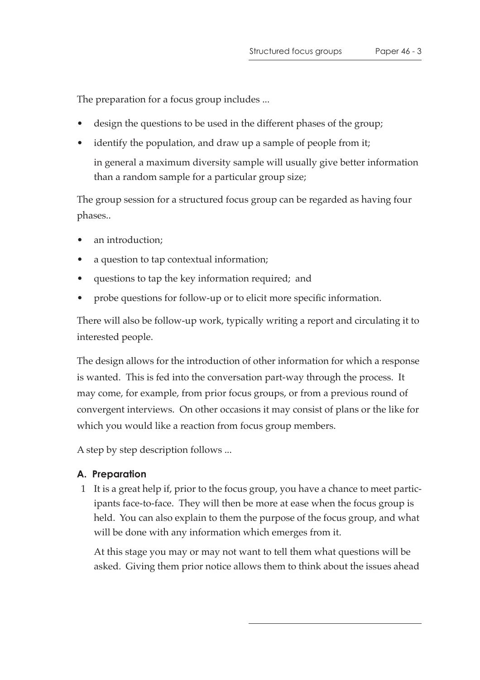The preparation for a focus group includes ...

- design the questions to be used in the different phases of the group;
- identify the population, and draw up a sample of people from it; in general a maximum diversity sample will usually give better information than a random sample for a particular group size;

The group session for a structured focus group can be regarded as having four phases..

- an introduction;
- a question to tap contextual information;
- questions to tap the key information required; and
- probe questions for follow-up or to elicit more specific information.

There will also be follow-up work, typically writing a report and circulating it to interested people.

The design allows for the introduction of other information for which a response is wanted. This is fed into the conversation part-way through the process. It may come, for example, from prior focus groups, or from a previous round of convergent interviews. On other occasions it may consist of plans or the like for which you would like a reaction from focus group members.

A step by step description follows ...

#### **A. Preparation**

 1 It is a great help if, prior to the focus group, you have a chance to meet participants face-to-face. They will then be more at ease when the focus group is held. You can also explain to them the purpose of the focus group, and what will be done with any information which emerges from it.

At this stage you may or may not want to tell them what questions will be asked. Giving them prior notice allows them to think about the issues ahead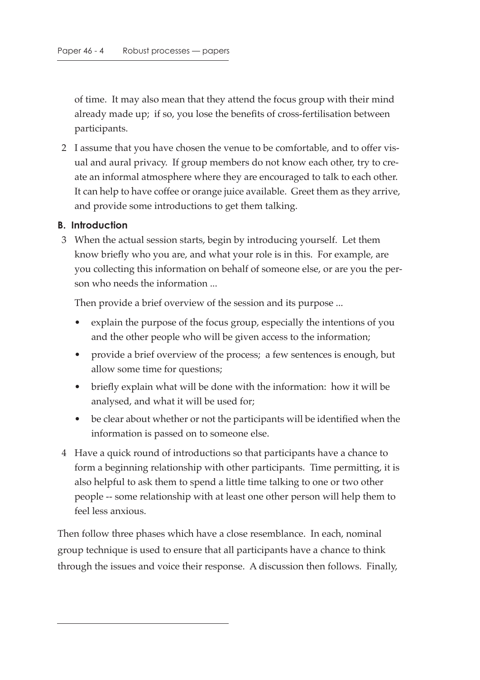of time. It may also mean that they attend the focus group with their mind already made up; if so, you lose the benefits of cross-fertilisation between participants.

 2 I assume that you have chosen the venue to be comfortable, and to offer visual and aural privacy. If group members do not know each other, try to create an informal atmosphere where they are encouraged to talk to each other. It can help to have coffee or orange juice available. Greet them as they arrive, and provide some introductions to get them talking.

#### **B. Introduction**

 3 When the actual session starts, begin by introducing yourself. Let them know briefly who you are, and what your role is in this. For example, are you collecting this information on behalf of someone else, or are you the person who needs the information ...

Then provide a brief overview of the session and its purpose ...

- explain the purpose of the focus group, especially the intentions of you and the other people who will be given access to the information;
- provide a brief overview of the process; a few sentences is enough, but allow some time for questions;
- briefly explain what will be done with the information: how it will be analysed, and what it will be used for;
- be clear about whether or not the participants will be identified when the information is passed on to someone else.
- 4 Have a quick round of introductions so that participants have a chance to form a beginning relationship with other participants. Time permitting, it is also helpful to ask them to spend a little time talking to one or two other people -- some relationship with at least one other person will help them to feel less anxious.

Then follow three phases which have a close resemblance. In each, nominal group technique is used to ensure that all participants have a chance to think through the issues and voice their response. A discussion then follows. Finally,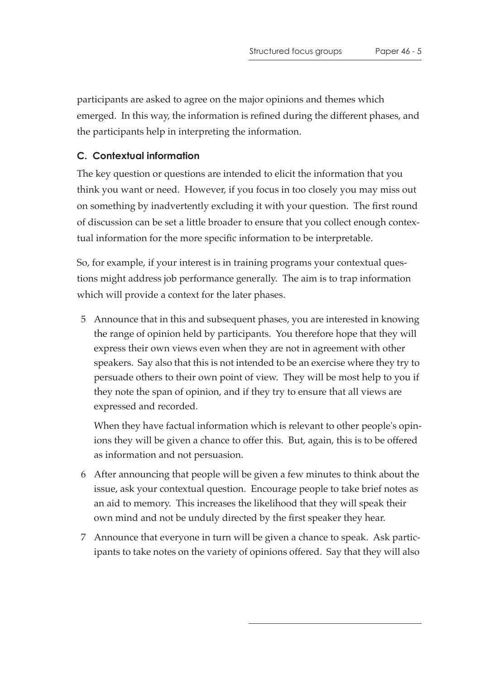participants are asked to agree on the major opinions and themes which emerged. In this way, the information is refined during the different phases, and the participants help in interpreting the information.

#### **C. Contextual information**

The key question or questions are intended to elicit the information that you think you want or need. However, if you focus in too closely you may miss out on something by inadvertently excluding it with your question. The first round of discussion can be set a little broader to ensure that you collect enough contextual information for the more specific information to be interpretable.

So, for example, if your interest is in training programs your contextual questions might address job performance generally. The aim is to trap information which will provide a context for the later phases.

 5 Announce that in this and subsequent phases, you are interested in knowing the range of opinion held by participants. You therefore hope that they will express their own views even when they are not in agreement with other speakers. Say also that this is not intended to be an exercise where they try to persuade others to their own point of view. They will be most help to you if they note the span of opinion, and if they try to ensure that all views are expressed and recorded.

When they have factual information which is relevant to other people's opinions they will be given a chance to offer this. But, again, this is to be offered as information and not persuasion.

- 6 After announcing that people will be given a few minutes to think about the issue, ask your contextual question. Encourage people to take brief notes as an aid to memory. This increases the likelihood that they will speak their own mind and not be unduly directed by the first speaker they hear.
- 7 Announce that everyone in turn will be given a chance to speak. Ask participants to take notes on the variety of opinions offered. Say that they will also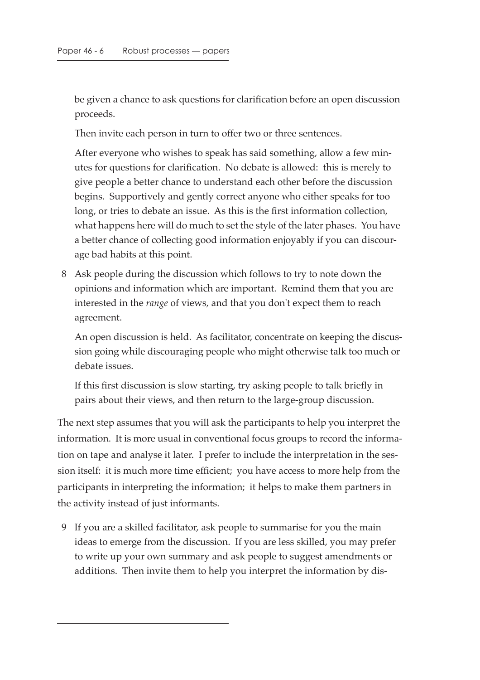be given a chance to ask questions for clarification before an open discussion proceeds.

Then invite each person in turn to offer two or three sentences.

After everyone who wishes to speak has said something, allow a few minutes for questions for clarification. No debate is allowed: this is merely to give people a better chance to understand each other before the discussion begins. Supportively and gently correct anyone who either speaks for too long, or tries to debate an issue. As this is the first information collection, what happens here will do much to set the style of the later phases. You have a better chance of collecting good information enjoyably if you can discourage bad habits at this point.

 8 Ask people during the discussion which follows to try to note down the opinions and information which are important. Remind them that you are interested in the *range* of views, and that you don't expect them to reach agreement.

An open discussion is held. As facilitator, concentrate on keeping the discussion going while discouraging people who might otherwise talk too much or debate issues.

If this first discussion is slow starting, try asking people to talk briefly in pairs about their views, and then return to the large-group discussion.

The next step assumes that you will ask the participants to help you interpret the information. It is more usual in conventional focus groups to record the information on tape and analyse it later. I prefer to include the interpretation in the session itself: it is much more time efficient; you have access to more help from the participants in interpreting the information; it helps to make them partners in the activity instead of just informants.

 9 If you are a skilled facilitator, ask people to summarise for you the main ideas to emerge from the discussion. If you are less skilled, you may prefer to write up your own summary and ask people to suggest amendments or additions. Then invite them to help you interpret the information by dis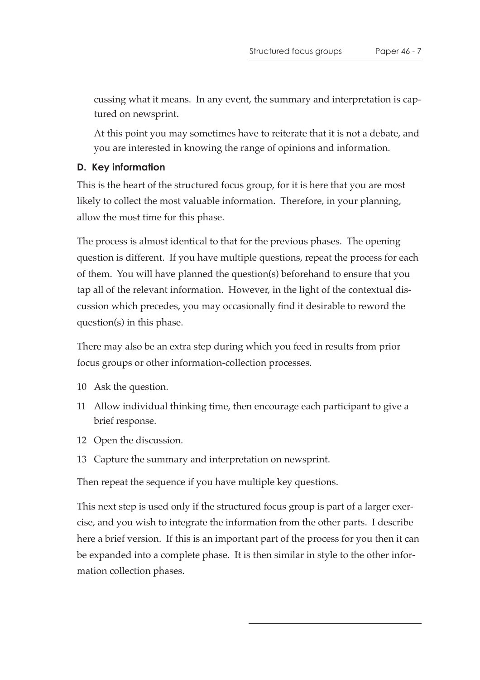cussing what it means. In any event, the summary and interpretation is captured on newsprint.

At this point you may sometimes have to reiterate that it is not a debate, and you are interested in knowing the range of opinions and information.

#### **D. Key information**

This is the heart of the structured focus group, for it is here that you are most likely to collect the most valuable information. Therefore, in your planning, allow the most time for this phase.

The process is almost identical to that for the previous phases. The opening question is different. If you have multiple questions, repeat the process for each of them. You will have planned the question(s) beforehand to ensure that you tap all of the relevant information. However, in the light of the contextual discussion which precedes, you may occasionally find it desirable to reword the question(s) in this phase.

There may also be an extra step during which you feed in results from prior focus groups or other information-collection processes.

- 10 Ask the question.
- 11 Allow individual thinking time, then encourage each participant to give a brief response.
- 12 Open the discussion.
- 13 Capture the summary and interpretation on newsprint.

Then repeat the sequence if you have multiple key questions.

This next step is used only if the structured focus group is part of a larger exercise, and you wish to integrate the information from the other parts. I describe here a brief version. If this is an important part of the process for you then it can be expanded into a complete phase. It is then similar in style to the other information collection phases.